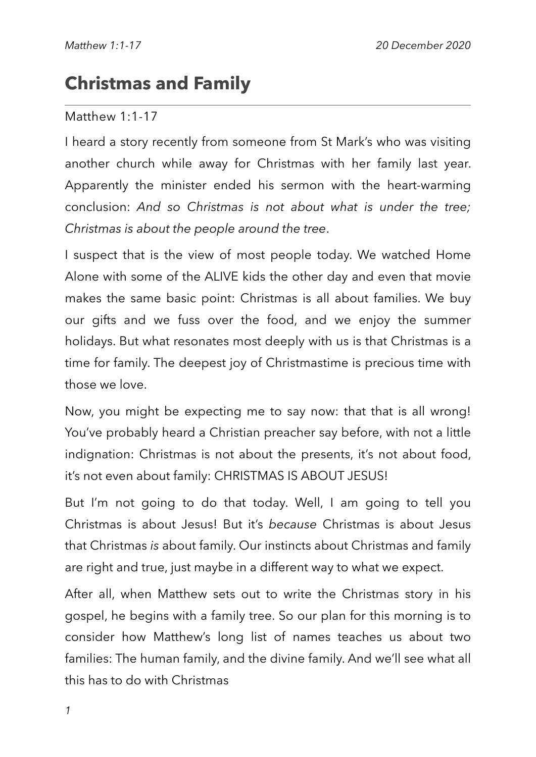# **Christmas and Family**

#### Matthew 1:1-17

I heard a story recently from someone from St Mark's who was visiting another church while away for Christmas with her family last year. Apparently the minister ended his sermon with the heart-warming conclusion: *And so Christmas is not about what is under the tree; Christmas is about the people around the tree*.

I suspect that is the view of most people today. We watched Home Alone with some of the ALIVE kids the other day and even that movie makes the same basic point: Christmas is all about families. We buy our gifts and we fuss over the food, and we enjoy the summer holidays. But what resonates most deeply with us is that Christmas is a time for family. The deepest joy of Christmastime is precious time with those we love.

Now, you might be expecting me to say now: that that is all wrong! You've probably heard a Christian preacher say before, with not a little indignation: Christmas is not about the presents, it's not about food, it's not even about family: CHRISTMAS IS ABOUT JESUS!

But I'm not going to do that today. Well, I am going to tell you Christmas is about Jesus! But it's *because* Christmas is about Jesus that Christmas *is* about family. Our instincts about Christmas and family are right and true, just maybe in a different way to what we expect.

After all, when Matthew sets out to write the Christmas story in his gospel, he begins with a family tree. So our plan for this morning is to consider how Matthew's long list of names teaches us about two families: The human family, and the divine family. And we'll see what all this has to do with Christmas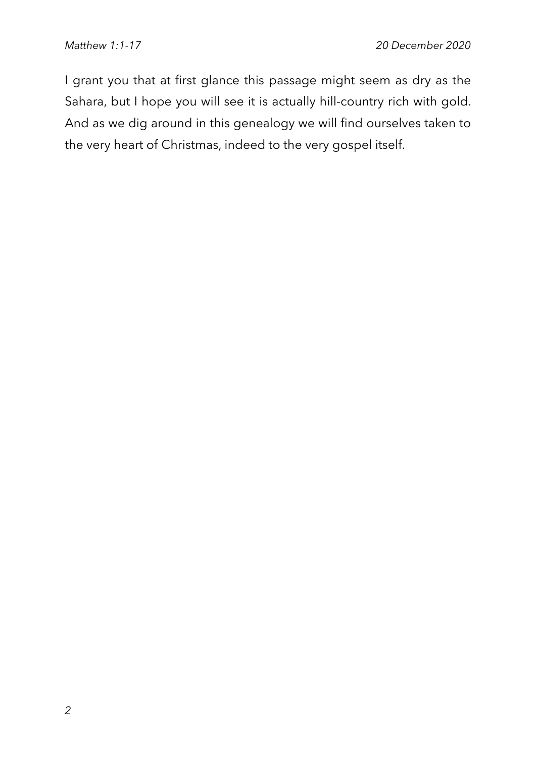I grant you that at first glance this passage might seem as dry as the Sahara, but I hope you will see it is actually hill-country rich with gold. And as we dig around in this genealogy we will find ourselves taken to the very heart of Christmas, indeed to the very gospel itself.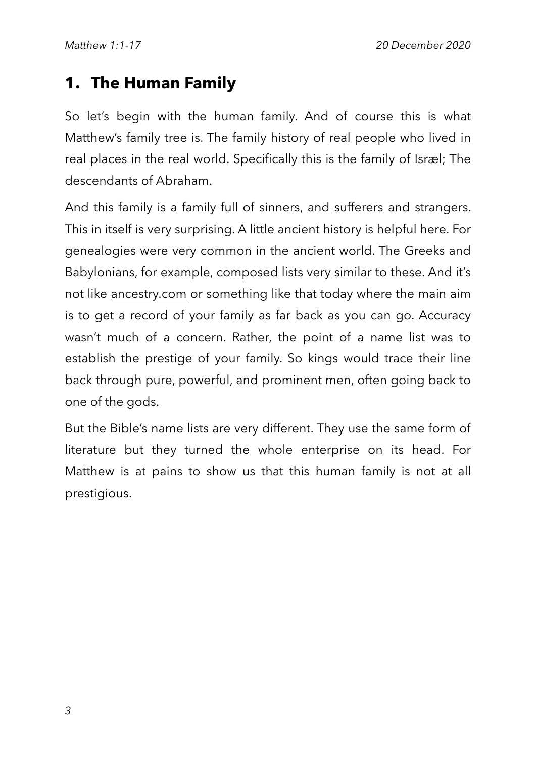### **1. The Human Family**

So let's begin with the human family. And of course this is what Matthew's family tree is. The family history of real people who lived in real places in the real world. Specifically this is the family of Israel; The descendants of Abraham.

And this family is a family full of sinners, and sufferers and strangers. This in itself is very surprising. A little ancient history is helpful here. For genealogies were very common in the ancient world. The Greeks and Babylonians, for example, composed lists very similar to these. And it's not like [ancestry.com](http://ancestry.com) or something like that today where the main aim is to get a record of your family as far back as you can go. Accuracy wasn't much of a concern. Rather, the point of a name list was to establish the prestige of your family. So kings would trace their line back through pure, powerful, and prominent men, often going back to one of the gods.

But the Bible's name lists are very different. They use the same form of literature but they turned the whole enterprise on its head. For Matthew is at pains to show us that this human family is not at all prestigious.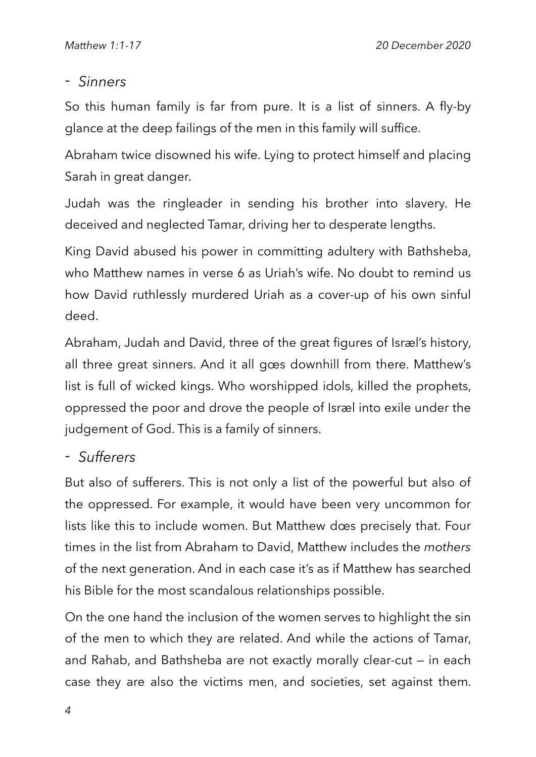### - *Sinners*

So this human family is far from pure. It is a list of sinners. A fly-by glance at the deep failings of the men in this family will suffice.

Abraham twice disowned his wife. Lying to protect himself and placing Sarah in great danger.

Judah was the ringleader in sending his brother into slavery. He deceived and neglected Tamar, driving her to desperate lengths.

King David abused his power in committing adultery with Bathsheba, who Matthew names in verse 6 as Uriah's wife. No doubt to remind us how David ruthlessly murdered Uriah as a cover-up of his own sinful deed.

Abraham, Judah and David, three of the great figures of Isræl's history, all three great sinners. And it all goes downhill from there. Matthew's list is full of wicked kings. Who worshipped idols, killed the prophets, oppressed the poor and drove the people of Israel into exile under the judgement of God. This is a family of sinners.

#### - *Sufferers*

But also of sufferers. This is not only a list of the powerful but also of the oppressed. For example, it would have been very uncommon for lists like this to include women. But Matthew does precisely that. Four times in the list from Abraham to David, Matthew includes the *mothers* of the next generation. And in each case it's as if Matthew has searched his Bible for the most scandalous relationships possible.

On the one hand the inclusion of the women serves to highlight the sin of the men to which they are related. And while the actions of Tamar, and Rahab, and Bathsheba are not exactly morally clear-cut — in each case they are also the victims men, and societies, set against them.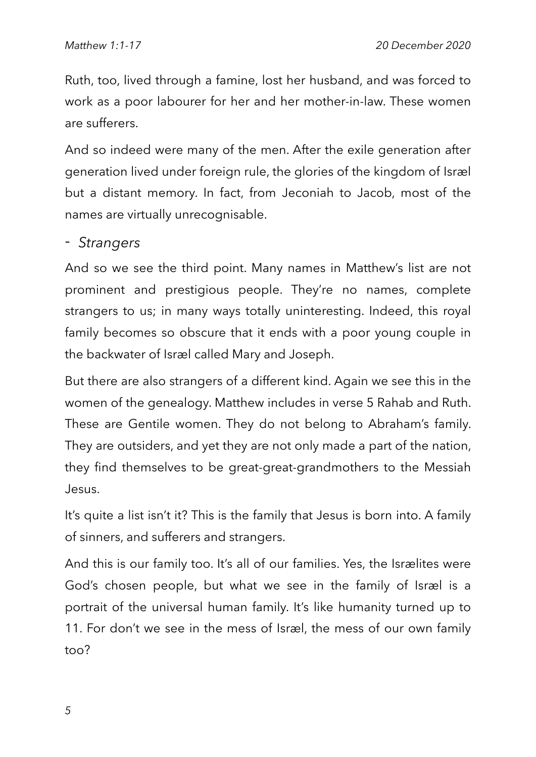Ruth, too, lived through a famine, lost her husband, and was forced to work as a poor labourer for her and her mother-in-law. These women are sufferers.

And so indeed were many of the men. After the exile generation after generation lived under foreign rule, the glories of the kingdom of Israel but a distant memory. In fact, from Jeconiah to Jacob, most of the names are virtually unrecognisable.

#### - *Strangers*

And so we see the third point. Many names in Matthew's list are not prominent and prestigious people. They're no names, complete strangers to us; in many ways totally uninteresting. Indeed, this royal family becomes so obscure that it ends with a poor young couple in the backwater of Isræl called Mary and Joseph.

But there are also strangers of a different kind. Again we see this in the women of the genealogy. Matthew includes in verse 5 Rahab and Ruth. These are Gentile women. They do not belong to Abraham's family. They are outsiders, and yet they are not only made a part of the nation, they find themselves to be great-great-grandmothers to the Messiah Jesus.

It's quite a list isn't it? This is the family that Jesus is born into. A family of sinners, and sufferers and strangers.

And this is our family too. It's all of our families. Yes, the Isrælites were God's chosen people, but what we see in the family of Isræl is a portrait of the universal human family. It's like humanity turned up to 11. For don't we see in the mess of Isræl, the mess of our own family too?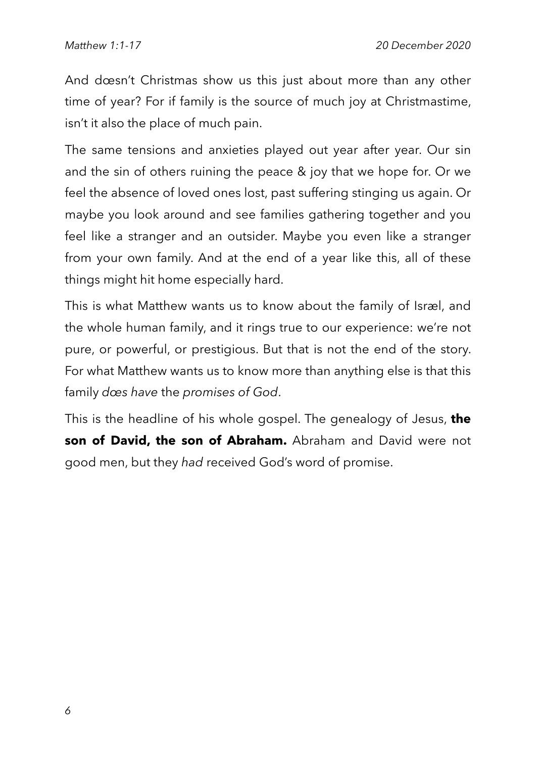And doesn't Christmas show us this just about more than any other time of year? For if family is the source of much joy at Christmastime, isn't it also the place of much pain.

The same tensions and anxieties played out year after year. Our sin and the sin of others ruining the peace & joy that we hope for. Or we feel the absence of loved ones lost, past suffering stinging us again. Or maybe you look around and see families gathering together and you feel like a stranger and an outsider. Maybe you even like a stranger from your own family. And at the end of a year like this, all of these things might hit home especially hard.

This is what Matthew wants us to know about the family of Isræl, and the whole human family, and it rings true to our experience: we're not pure, or powerful, or prestigious. But that is not the end of the story. For what Matthew wants us to know more than anything else is that this family *does have* the *promises of God*.

This is the headline of his whole gospel. The genealogy of Jesus, **the son of David, the son of Abraham.** Abraham and David were not good men, but they *had* received God's word of promise.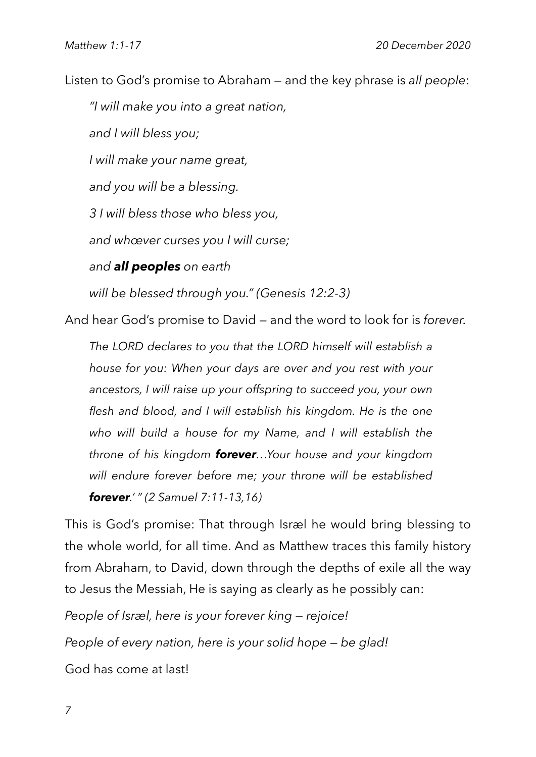Listen to God's promise to Abraham — and the key phrase is *all people*:

*"I will make you into a great nation, and I will bless you; I will make your name great, and you will be a blessing. 3 I will bless those who bless you, and whoever curses you I will curse; and all peoples on earth will be blessed through you." (Genesis 12:2-3)*

And hear God's promise to David — and the word to look for is *forever.*

*The LORD declares to you that the LORD himself will establish a house for you: When your days are over and you rest with your ancestors, I will raise up your offspring to succeed you, your own flesh and blood, and I will establish his kingdom. He is the one who will build a house for my Name, and I will establish the throne of his kingdom forever...Your house and your kingdom will endure forever before me; your throne will be established forever.' " (2 Samuel 7:11-13,16)*

This is God's promise: That through Israel he would bring blessing to the whole world, for all time. And as Matthew traces this family history from Abraham, to David, down through the depths of exile all the way to Jesus the Messiah, He is saying as clearly as he possibly can:

*People of Israel, here is your forever king — rejoice! People of every nation, here is your solid hope — be glad!* God has come at last!

*7*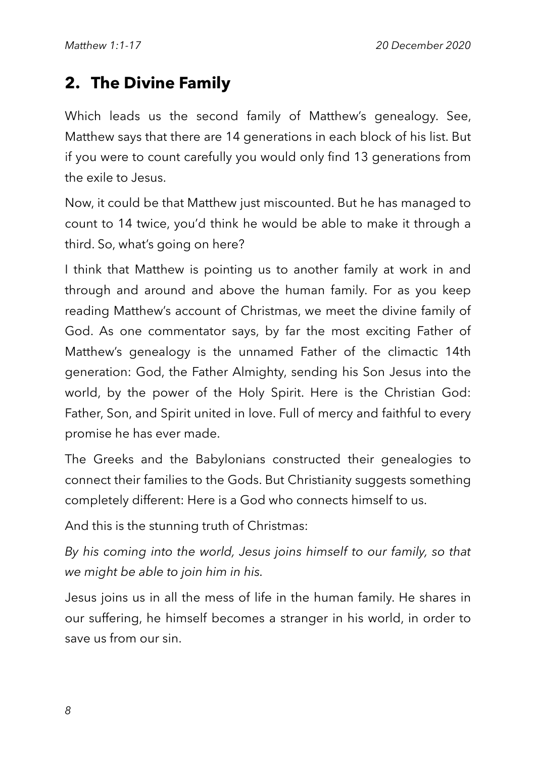## **2. The Divine Family**

Which leads us the second family of Matthew's genealogy. See, Matthew says that there are 14 generations in each block of his list. But if you were to count carefully you would only find 13 generations from the exile to Jesus.

Now, it could be that Matthew just miscounted. But he has managed to count to 14 twice, you'd think he would be able to make it through a third. So, what's going on here?

I think that Matthew is pointing us to another family at work in and through and around and above the human family. For as you keep reading Matthew's account of Christmas, we meet the divine family of God. As one commentator says, by far the most exciting Father of Matthew's genealogy is the unnamed Father of the climactic 14th generation: God, the Father Almighty, sending his Son Jesus into the world, by the power of the Holy Spirit. Here is the Christian God: Father, Son, and Spirit united in love. Full of mercy and faithful to every promise he has ever made.

The Greeks and the Babylonians constructed their genealogies to connect their families to the Gods. But Christianity suggests something completely different: Here is a God who connects himself to us.

And this is the stunning truth of Christmas:

*By his coming into the world, Jesus joins himself to our family, so that we might be able to join him in his.* 

Jesus joins us in all the mess of life in the human family. He shares in our suffering, he himself becomes a stranger in his world, in order to save us from our sin.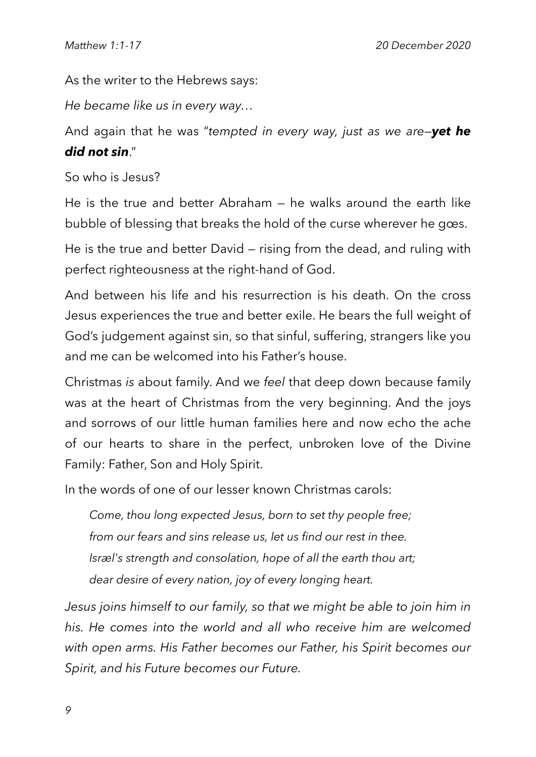As the writer to the Hebrews says:

*He became like us in every way...*

And again that he was "*tempted in every way, just as we are—yet he did not sin*."

So who is Jesus?

He is the true and better Abraham — he walks around the earth like bubble of blessing that breaks the hold of the curse wherever he goes.

He is the true and better David — rising from the dead, and ruling with perfect righteousness at the right-hand of God.

And between his life and his resurrection is his death. On the cross Jesus experiences the true and better exile. He bears the full weight of God's judgement against sin, so that sinful, suffering, strangers like you and me can be welcomed into his Father's house.

Christmas *is* about family. And we *feel* that deep down because family was at the heart of Christmas from the very beginning. And the joys and sorrows of our little human families here and now echo the ache of our hearts to share in the perfect, unbroken love of the Divine Family: Father, Son and Holy Spirit.

In the words of one of our lesser known Christmas carols:

*Come, thou long expected Jesus, born to set thy people free; from our fears and sins release us, let us find our rest in thee. Israel's strength and consolation, hope of all the earth thou art; dear desire of every nation, joy of every longing heart.*

Jesus joins himself to our family, so that we might be able to join him in his. He comes into the world and all who receive him are welcomed *with open arms. His Father becomes our Father, his Spirit becomes our Spirit, and his Future becomes our Future.*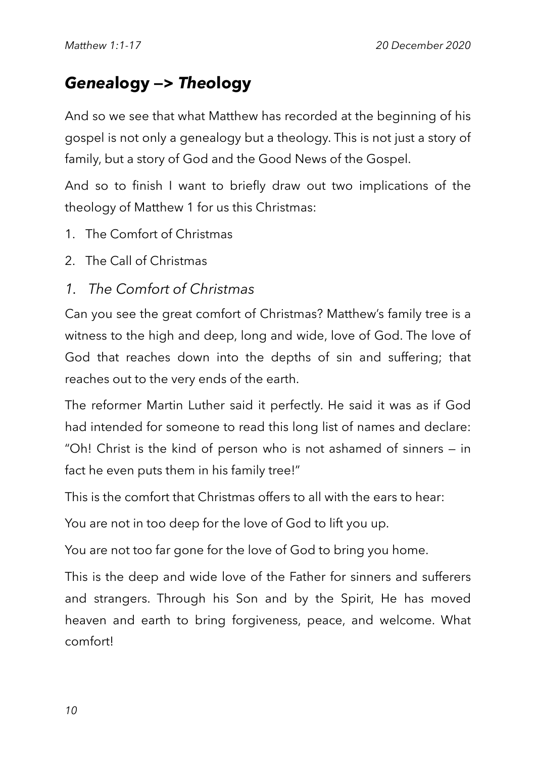## *Genea***logy —>** *Theo***logy**

And so we see that what Matthew has recorded at the beginning of his gospel is not only a genealogy but a theology. This is not just a story of family, but a story of God and the Good News of the Gospel.

And so to finish I want to briefly draw out two implications of the theology of Matthew 1 for us this Christmas:

- 1. The Comfort of Christmas
- 2. The Call of Christmas
- *1. The Comfort of Christmas*

Can you see the great comfort of Christmas? Matthew's family tree is a witness to the high and deep, long and wide, love of God. The love of God that reaches down into the depths of sin and suffering; that reaches out to the very ends of the earth.

The reformer Martin Luther said it perfectly. He said it was as if God had intended for someone to read this long list of names and declare: "Oh! Christ is the kind of person who is not ashamed of sinners — in fact he even puts them in his family tree!"

This is the comfort that Christmas offers to all with the ears to hear:

You are not in too deep for the love of God to lift you up.

You are not too far gone for the love of God to bring you home.

This is the deep and wide love of the Father for sinners and sufferers and strangers. Through his Son and by the Spirit, He has moved heaven and earth to bring forgiveness, peace, and welcome. What comfort!